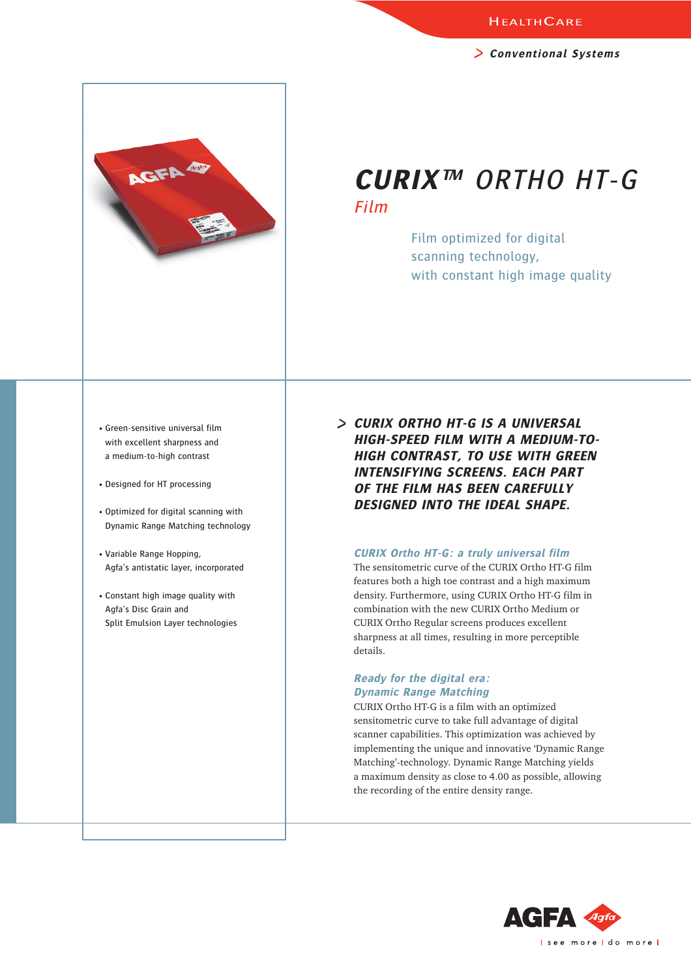**Conventional Systems**

## **CURIX™** ORTHO HT-G Film

Film optimized for digital scanning technology, with constant high image quality

• Green-sensitive universal film with excellent sharpness and a medium-to-high contrast

AGFA O

- Designed for HT processing
- Optimized for digital scanning with Dynamic Range Matching technology
- Variable Range Hopping, Agfa's antistatic layer, incorporated
- Constant high image quality with Agfa's Disc Grain and Split Emulsion Layer technologies

**CURIX ORTHO HT-G IS A UNIVERSAL HIGH-SPEED FILM WITH A MEDIUM-TO-HIGH CONTRAST, TO USE WITH GREEN INTENSIFYING SCREENS. EACH PART OF THE FILM HAS BEEN CAREFULLY DESIGNED INTO THE IDEAL SHAPE.**

## **CURIX Ortho HT-G: a truly universal film**

The sensitometric curve of the CURIX Ortho HT-G film features both a high toe contrast and a high maximum density. Furthermore, using CURIX Ortho HT-G film in combination with the new CURIX Ortho Medium or CURIX Ortho Regular screens produces excellent sharpness at all times, resulting in more perceptible details.

## **Ready for the digital era: Dynamic Range Matching**

CURIX Ortho HT-G is a film with an optimized sensitometric curve to take full advantage of digital scanner capabilities. This optimization was achieved by implementing the unique and innovative 'Dynamic Range Matching'-technology. Dynamic Range Matching yields a maximum density as close to 4.00 as possible, allowing the recording of the entire density range.

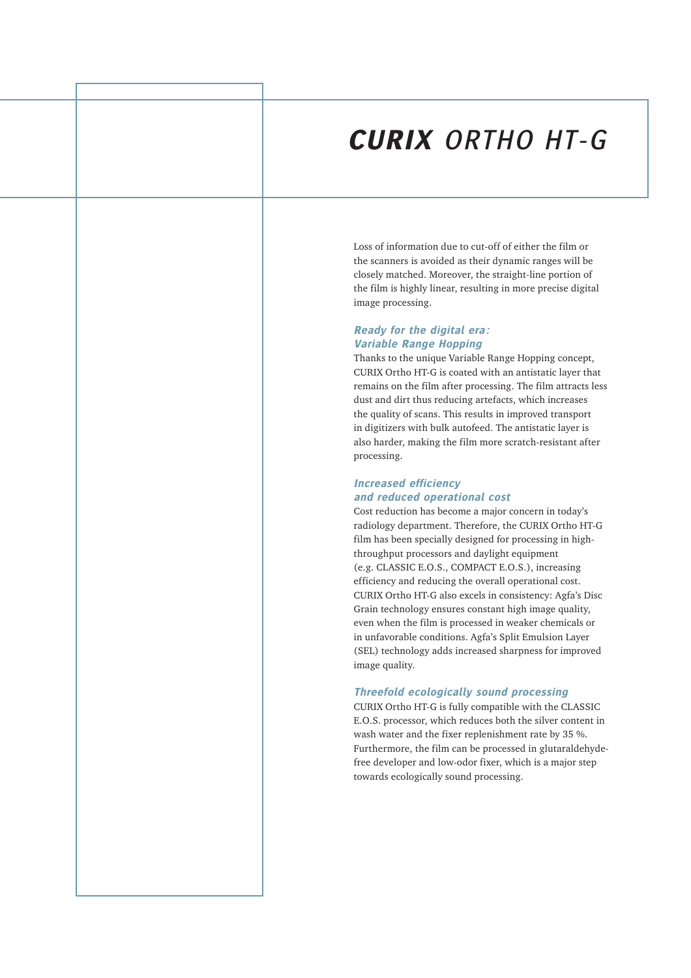# **CURIX** ORTHO HT-G

Loss of information due to cut-off of either the film or the scanners is avoided as their dynamic ranges will be closely matched. Moreover, the straight-line portion of the film is highly linear, resulting in more precise digital image processing.

## **Ready for the digital era: Variable Range Hopping**

Thanks to the unique Variable Range Hopping concept, CURIX Ortho HT-G is coated with an antistatic layer that remains on the film after processing. The film attracts less dust and dirt thus reducing artefacts, which increases the quality of scans. This results in improved transport in digitizers with bulk autofeed. The antistatic layer is also harder, making the film more scratch-resistant after processing.

## **Increased efficiency and reduced operational cost**

Cost reduction has become a major concern in today's radiology department. Therefore, the CURIX Ortho HT-G film has been specially designed for processing in highthroughput processors and daylight equipment (e.g. CLASSIC E.O.S., COMPACT E.O.S.), increasing efficiency and reducing the overall operational cost. CURIX Ortho HT-G also excels in consistency: Agfa's Disc Grain technology ensures constant high image quality, even when the film is processed in weaker chemicals or in unfavorable conditions. Agfa's Split Emulsion Layer (SEL) technology adds increased sharpness for improved image quality.

## **Threefold ecologically sound processing**

CURIX Ortho HT-G is fully compatible with the CLASSIC E.O.S. processor, which reduces both the silver content in wash water and the fixer replenishment rate by 35 %. Furthermore, the film can be processed in glutaraldehydefree developer and low-odor fixer, which is a major step towards ecologically sound processing.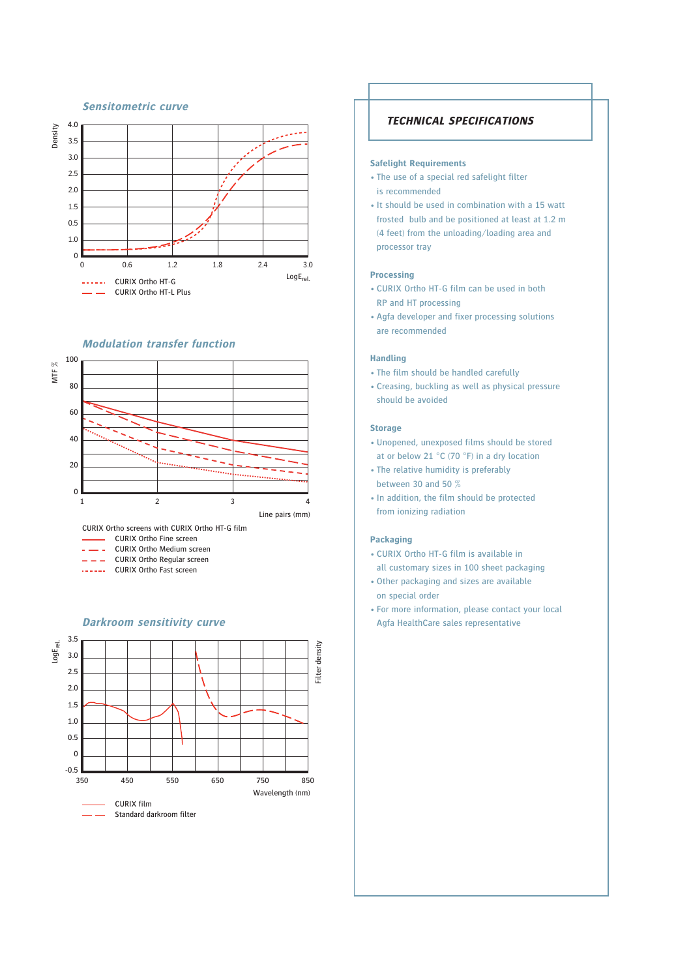### 4.0 Density 3.5 3.0 2.5 2.0 1.5 0.5 1.0  $\Omega$ 0 0.6 1.2 1.8 2.4 3.0 LogErel. CURIX Ortho HT-G CURIX Ortho HT-L Plus

**Sensitometric curve**

#### **Modulation transfer function**



CURIX Ortho screens with CURIX Ortho HT-G film

- CURIX Ortho Fine screen
- $\sim$   $\sim$   $\sim$ CURIX Ortho Medium screen
- $- -$ CURIX Ortho Regular screen
- ...... CURIX Ortho Fast screen



## **TECHNICAL SPECIFICATIONS**

#### **Safelight Requirements**

- The use of a special red safelight filter is recommended
- It should be used in combination with a 15 watt frosted bulb and be positioned at least at 1.2 m (4 feet) from the unloading/loading area and processor tray

#### **Processing**

- CURIX Ortho HT-G film can be used in both RP and HT processing
- Agfa developer and fixer processing solutions are recommended

#### **Handling**

- The film should be handled carefully
- Creasing, buckling as well as physical pressure should be avoided

#### **Storage**

- Unopened, unexposed films should be stored at or below 21 °C (70 °F) in a dry location
- The relative humidity is preferably between 30 and 50 %
- In addition, the film should be protected from ionizing radiation

#### **Packaging**

- CURIX Ortho HT-G film is available in all customary sizes in 100 sheet packaging
- Other packaging and sizes are available on special order
- For more information, please contact your local Agfa HealthCare sales representative